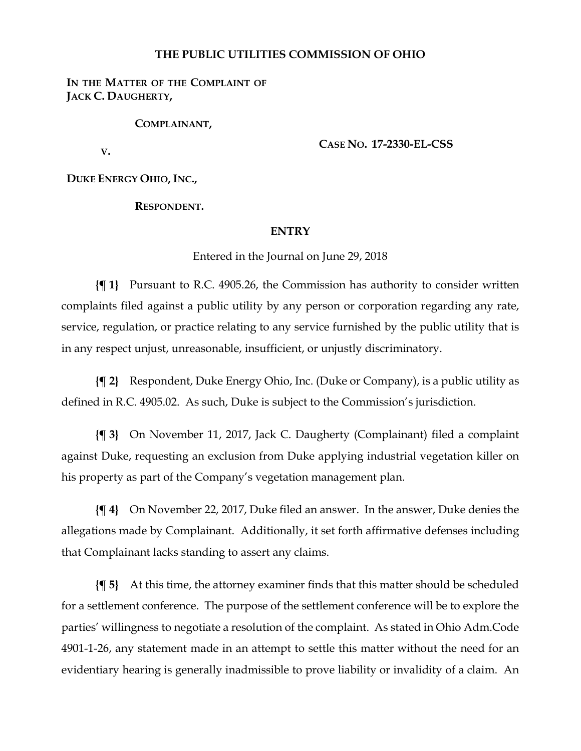## **THE PUBLIC UTILITIES COMMISSION OF OHIO**

## **IN THE MATTER OF THE COMPLAINT OF JACK C. DAUGHERTY,**

**COMPLAINANT,**

**V.**

**CASE NO. 17-2330-EL-CSS**

**DUKE ENERGY OHIO, INC.,**

**RESPONDENT.**

## **ENTRY**

Entered in the Journal on June 29, 2018

**{¶ 1}** Pursuant to R.C. 4905.26, the Commission has authority to consider written complaints filed against a public utility by any person or corporation regarding any rate, service, regulation, or practice relating to any service furnished by the public utility that is in any respect unjust, unreasonable, insufficient, or unjustly discriminatory.

**{¶ 2}** Respondent, Duke Energy Ohio, Inc. (Duke or Company), is a public utility as defined in R.C. 4905.02. As such, Duke is subject to the Commission's jurisdiction.

**{¶ 3}** On November 11, 2017, Jack C. Daugherty (Complainant) filed a complaint against Duke, requesting an exclusion from Duke applying industrial vegetation killer on his property as part of the Company's vegetation management plan.

**{¶ 4}** On November 22, 2017, Duke filed an answer. In the answer, Duke denies the allegations made by Complainant. Additionally, it set forth affirmative defenses including that Complainant lacks standing to assert any claims.

**{¶ 5}** At this time, the attorney examiner finds that this matter should be scheduled for a settlement conference. The purpose of the settlement conference will be to explore the parties' willingness to negotiate a resolution of the complaint. As stated in Ohio Adm.Code 4901-1-26, any statement made in an attempt to settle this matter without the need for an evidentiary hearing is generally inadmissible to prove liability or invalidity of a claim. An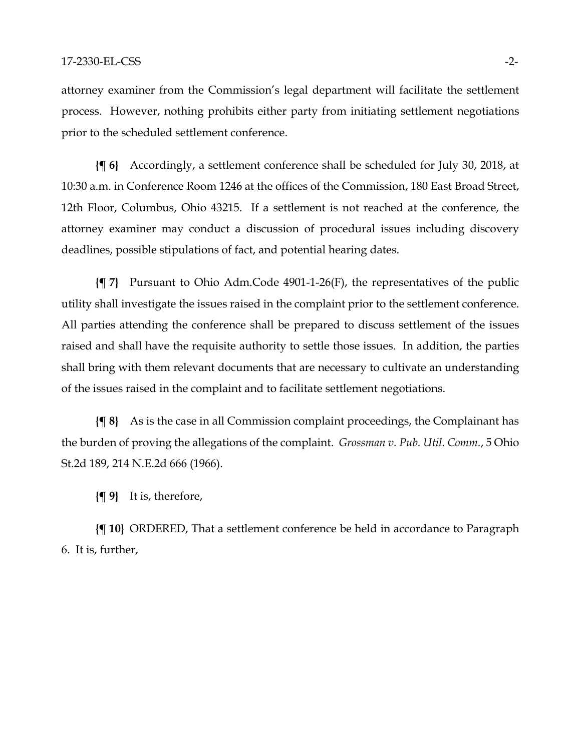attorney examiner from the Commission's legal department will facilitate the settlement process. However, nothing prohibits either party from initiating settlement negotiations prior to the scheduled settlement conference.

**{¶ 6}** Accordingly, a settlement conference shall be scheduled for July 30, 2018, at 10:30 a.m. in Conference Room 1246 at the offices of the Commission, 180 East Broad Street, 12th Floor, Columbus, Ohio 43215. If a settlement is not reached at the conference, the attorney examiner may conduct a discussion of procedural issues including discovery deadlines, possible stipulations of fact, and potential hearing dates.

**{¶ 7}** Pursuant to Ohio Adm.Code 4901-1-26(F), the representatives of the public utility shall investigate the issues raised in the complaint prior to the settlement conference. All parties attending the conference shall be prepared to discuss settlement of the issues raised and shall have the requisite authority to settle those issues. In addition, the parties shall bring with them relevant documents that are necessary to cultivate an understanding of the issues raised in the complaint and to facilitate settlement negotiations.

**{¶ 8}** As is the case in all Commission complaint proceedings, the Complainant has the burden of proving the allegations of the complaint. *Grossman v. Pub. Util. Comm.*, 5 Ohio St.2d 189, 214 N.E.2d 666 (1966).

**{¶ 9}** It is, therefore,

**{¶ 10}** ORDERED, That a settlement conference be held in accordance to Paragraph 6. It is, further,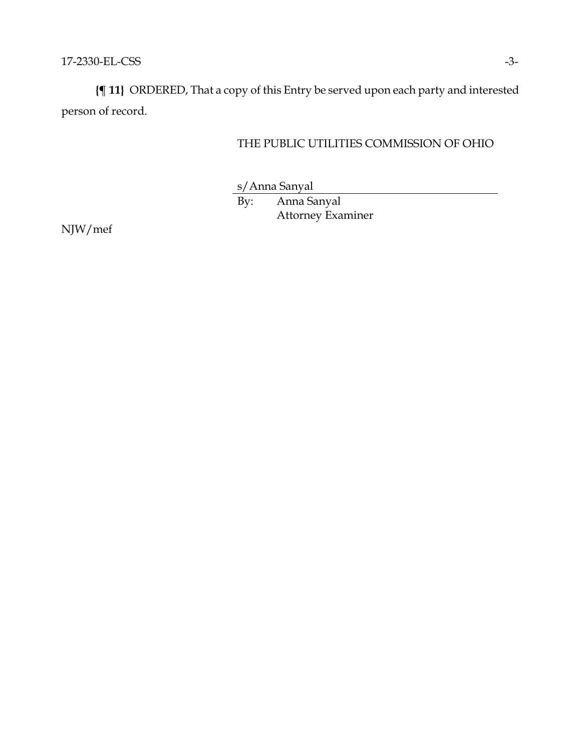**{¶ 11}** ORDERED, That a copy of this Entry be served upon each party and interested person of record.

THE PUBLIC UTILITIES COMMISSION OF OHIO

s/Anna Sanyal<br>By: Anna Sa

Anna Sanyal Attorney Examiner

NJW/mef